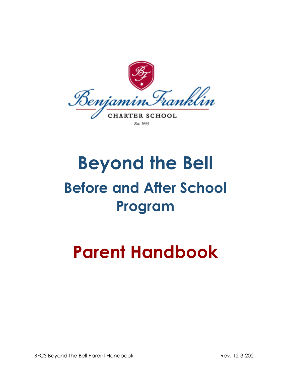

Est. 1995

# **Beyond the Bell Before and After School Program**

## **Parent Handbook**

BFCS Beyond the Bell Parent Handbook Rev. 12-3-2021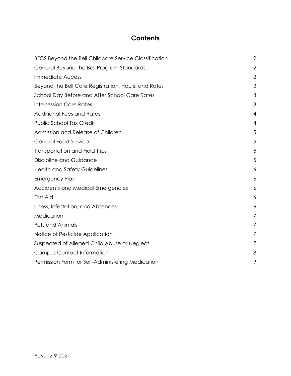## **Contents**

<span id="page-1-0"></span>

| BFCS Beyond the Bell Childcare Service Classification | $\overline{2}$ |
|-------------------------------------------------------|----------------|
| General Beyond the Bell Program Standards             | $\mathbf{2}$   |
| <b>Immediate Access</b>                               | $\overline{2}$ |
| Beyond the Bell Care Registration, Hours, and Rates   | 3              |
| School Day Before and After School Care Rates         | 3              |
| <b>Intersession Care Rates</b>                        | 3              |
| <b>Additional Fees and Rates</b>                      | 4              |
| Public School Tax Credit                              | $\overline{4}$ |
| Admission and Release of Children                     | 5              |
| <b>General Food Service</b>                           | 5              |
| <b>Transportation and Field Trips</b>                 | 5              |
| Discipline and Guidance                               | 5              |
| <b>Health and Safety Guidelines</b>                   | 6              |
| <b>Emergency Plan</b>                                 | 6              |
| Accidents and Medical Emergencies                     | 6              |
| First Aid                                             | 6              |
| Illness, Infestation, and Absences                    | 6              |
| Medication                                            | 7              |
| Pets and Animals                                      | 7              |
| Notice of Pesticide Application                       | 7              |
| Suspected of Alleged Child Abuse or Neglect           | 7              |
| <b>Campus Contact Information</b>                     | 8              |
| Permission Form for Self-Administering Medication     | 9              |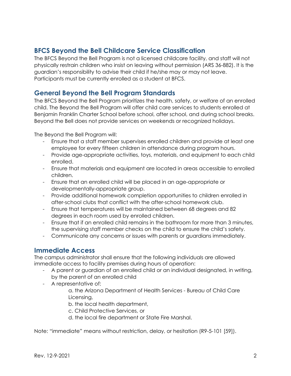### **BFCS Beyond the Bell Childcare Service Classification**

The BFCS Beyond the Bell Program is not a licensed childcare facility, and staff will not physically restrain children who insist on leaving without permission (ARS 36-882). It is the guardian's responsibility to advise their child if he/she may or may not leave. Participants must be currently enrolled as a student at BFCS.

#### <span id="page-2-0"></span>**General Beyond the Bell Program Standards**

The BFCS Beyond the Bell Program prioritizes the health, safety, or welfare of an enrolled child. The Beyond the Bell Program will offer child care services to students enrolled at Benjamin Franklin Charter School before school, after school, and during school breaks. Beyond the Bell does not provide services on weekends or recognized holidays.

The Beyond the Bell Program will:

- Ensure that a staff member supervises enrolled children and provide at least one employee for every fifteen children in attendance during program hours.
- Provide age-appropriate activities, toys, materials, and equipment to each child enrolled.
- Ensure that materials and equipment are located in areas accessible to enrolled children.
- Ensure that an enrolled child will be placed in an age-appropriate or developmentally-appropriate group.
- Provide additional homework completion opportunities to children enrolled in after-school clubs that conflict with the after-school homework club.
- Ensure that temperatures will be maintained between 68 degrees and 82 degrees in each room used by enrolled children.
- Ensure that if an enrolled child remains in the bathroom for more than 3 minutes, the supervising staff member checks on the child to ensure the child's safety.
- Communicate any concerns or issues with parents or guardians immediately.

#### **Immediate Access**

The campus administrator shall ensure that the following individuals are allowed immediate access to facility premises during hours of operation:

- A parent or guardian of an enrolled child or an individual designated, in writing, by the parent of an enrolled child
- A representative of:

a. the Arizona Department of Health Services - Bureau of Child Care Licensing,

b. the local health department,

c. Child Protective Services, or

d. the local fire department or State Fire Marshal.

Note: "immediate" means without restriction, delay, or hesitation (R9-5-101 [59]).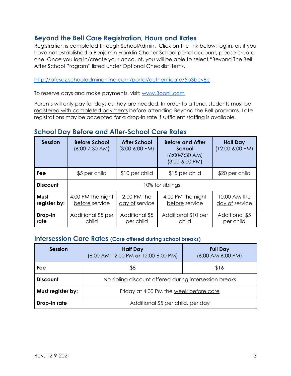### **Beyond the Bell Care Registration, Hours and Rates**

Registration is completed through SchoolAdmin. Click on the link below, log in, or, if you have not established a Benjamin Franklin Charter School portal account, please create one. Once you log in/create your account, you will be able to select "Beyond The Bell After School Program" listed under Optional Checklist Items.

#### <http://bfcsaz.schooladminonline.com/portal/authenticate/5b3bcy8c>

To reserve days and make payments, visit: [www.Boonli.com](http://www.boonli.com)

Parents will only pay for days as they are needed. In order to attend, students must be registered with completed payments before attending Beyond the Bell programs. Late registrations may be accepted for a drop-in rate if sufficient staffing is available.

#### **School Day Before and After-School Care Rates**

| <b>Session</b>       | <b>Before School</b><br>$(6:00-7:30$ AM) | <b>After School</b><br>$(3:00-6:00$ PM) | <b>Before and After</b><br>School<br>$(6:00-7:30$ AM)<br>$(3:00-6:00$ PM) | <b>Half Day</b><br>$(12:00-6:00 \text{ PM})$ |
|----------------------|------------------------------------------|-----------------------------------------|---------------------------------------------------------------------------|----------------------------------------------|
| Fee                  | \$5 per child                            | \$10 per child                          | \$15 per child                                                            | \$20 per child                               |
| <b>Discount</b>      | 10% for siblings                         |                                         |                                                                           |                                              |
| Must<br>register by: | 4:00 PM the night<br>before service      | $2:00$ PM the<br>day of service         | 4:00 PM the night<br>before service                                       | 10:00 AM the<br>day of service               |
| Drop-in<br>rate      | Additional \$5 per<br>child              | Additional \$5<br>per child             | Additional \$10 per<br>child                                              | Additional \$5<br>per child                  |

#### **Intersession Care Rates (Care offered during school breaks)**

| <b>Session</b>    | <b>Half Day</b><br>$(6:00$ AM-12:00 PM or 12:00-6:00 PM) | <b>Full Day</b><br>$(6:00$ AM-6:00 PM) |
|-------------------|----------------------------------------------------------|----------------------------------------|
| Fee               | \$8                                                      | \$16                                   |
| <b>Discount</b>   | No sibling discount offered during intersession breaks   |                                        |
| Must register by: | Friday at 4:00 PM the week before care                   |                                        |
| Drop-in rate      | Additional \$5 per child, per day                        |                                        |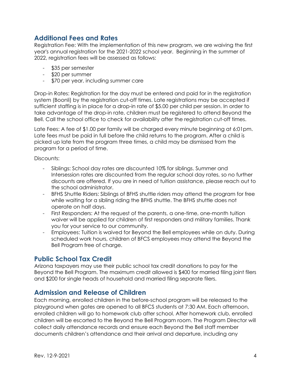#### **Additional Fees and Rates**

Registration Fee: With the implementation of this new program, we are waiving the first year's annual registration for the 2021-2022 school year. Beginning in the summer of 2022, registration fees will be assessed as follows:

- \$35 per semester
- \$20 per summer
- \$70 per year, including summer care

Drop-in Rates: Registration for the day must be entered and paid for in the registration system (Boonli) by the registration cut-off times. Late registrations may be accepted if sufficient staffing is in place for a drop-in rate of \$5.00 per child per session. In order to take advantage of the drop-in rate, children must be registered to attend Beyond the Bell. Call the school office to check for availability after the registration cut-off times.

Late Fees: A fee of \$1.00 per family will be charged every minute beginning at 6:01pm. Late fees must be paid in full before the child returns to the program. After a child is picked up late from the program three times, a child may be dismissed from the program for a period of time.

Discounts:

- Siblings: School day rates are discounted 10% for siblings. Summer and Intersession rates are discounted from the regular school day rates, so no further discounts are offered. If you are in need of tuition assistance, please reach out to the school administrator.
- BFHS Shuttle Riders: Siblings of BFHS shuttle riders may attend the program for free while waiting for a sibling riding the BFHS shuttle. The BFHS shuttle does not operate on half days.
- First Responders: At the request of the parents, a one-time, one-month tuition waiver will be applied for children of first responders and military families. Thank you for your service to our community.
- Employees: Tuition is waived for Beyond the Bell employees while on duty. During scheduled work hours, children of BFCS employees may attend the Beyond the Bell Program free of charge.

#### **Public School Tax Credit**

Arizona taxpayers may use their public school tax credit donations to pay for the Beyond the Bell Program. The maximum credit allowed is \$400 for married filing joint filers and \$200 for single heads of household and married filing separate filers.

#### **Admission and Release of Children**

Each morning, enrolled children in the before-school program will be released to the playground when gates are opened to all BFCS students at 7:30 AM. Each afternoon, enrolled children will go to homework club after school. After homework club, enrolled children will be escorted to the Beyond the Bell Program room. The Program Director will collect daily attendance records and ensure each Beyond the Bell staff member documents children's attendance and their arrival and departure, including any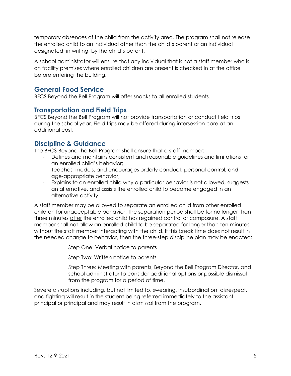temporary absences of the child from the activity area. The program shall not release the enrolled child to an individual other than the child's parent or an individual designated, in writing, by the child's parent.

A school administrator will ensure that any individual that is not a staff member who is on facility premises where enrolled children are present is checked in at the office before entering the building.

#### **General Food Service**

BFCS Beyond the Bell Program will offer snacks to all enrolled students.

#### **Transportation and Field Trips**

BFCS Beyond the Bell Program will not provide transportation or conduct field trips during the school year. Field trips may be offered during intersession care at an additional cost.

#### **Discipline & Guidance**

The BFCS Beyond the Bell Program shall ensure that a staff member:

- Defines and maintains consistent and reasonable guidelines and limitations for an enrolled child's behavior;
- Teaches, models, and encourages orderly conduct, personal control, and age-appropriate behavior;
- Explains to an enrolled child why a particular behavior is not allowed, suggests an alternative, and assists the enrolled child to become engaged in an alternative activity.

A staff member may be allowed to separate an enrolled child from other enrolled children for unacceptable behavior. The separation period shall be for no longer than three minutes after the enrolled child has regained control or composure. A staff member shall not allow an enrolled child to be separated for longer than ten minutes without the staff member interacting with the child. If this break time does not result in the needed change to behavior, then the three-step discipline plan may be enacted:

Step One: Verbal notice to parents

Step Two: Written notice to parents

Step Three: Meeting with parents, Beyond the Bell Program Director, and school administrator to consider additional options or possible dismissal from the program for a period of time.

Severe disruptions including, but not limited to, swearing, insubordination, disrespect, and fighting will result in the student being referred immediately to the assistant principal or principal and may result in dismissal from the program.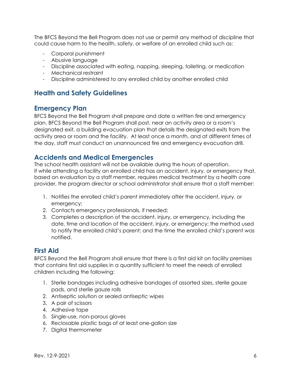The BFCS Beyond the Bell Program does not use or permit any method of discipline that could cause harm to the health, safety, or welfare of an enrolled child such as:

- Corporal punishment
- Abusive language
- Discipline associated with eating, napping, sleeping, toileting, or medication
- Mechanical restraint
- Discipline administered to any enrolled child by another enrolled child

#### **Health and Safety Guidelines**

#### **Emergency Plan**

BFCS Beyond the Bell Program shall prepare and date a written fire and emergency plan. BFCS Beyond the Bell Program shall post, near an activity area or a room's designated exit, a building evacuation plan that details the designated exits from the activity area or room and the facility. At least once a month, and at different times of the day, staff must conduct an unannounced fire and emergency evacuation drill.

#### **Accidents and Medical Emergencies**

The school health assistant will not be available during the hours of operation. If while attending a facility an enrolled child has an accident, injury, or emergency that, based on evaluation by a staff member, requires medical treatment by a health care provider, the program director or school administrator shall ensure that a staff member:

- 1. Notifies the enrolled child's parent immediately after the accident, injury, or emergency;
- 2. Contacts emergency professionals, if needed;
- 3. Completes a description of the accident, injury, or emergency, including the date, time and location of the accident, injury, or emergency; the method used to notify the enrolled child's parent; and the time the enrolled child's parent was notified.

#### **First Aid**

BFCS Beyond the Bell Program shall ensure that there is a first aid kit on facility premises that contains first aid supplies in a quantity sufficient to meet the needs of enrolled children including the following:

- 1. Sterile bandages including adhesive bandages of assorted sizes, sterile gauze pads, and sterile gauze rolls
- 2. Antiseptic solution or sealed antiseptic wipes
- 3. A pair of scissors
- 4. Adhesive tape
- 5. Single-use, non-porous gloves
- 6. Reclosable plastic bags of at least one-gallon size
- 7. Digital thermometer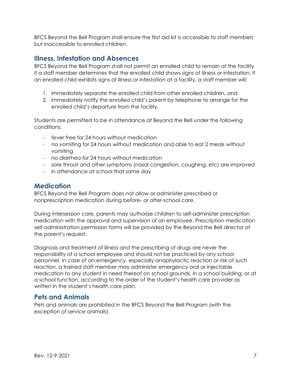BFCS Beyond the Bell Program shall ensure the first aid kit is accessible to staff members but inaccessible to enrolled children.

#### **Illness, Infestation and Absences**

BFCS Beyond the Bell Program shall not permit an enrolled child to remain at the facility if a staff member determines that the enrolled child shows signs of illness or infestation. If an enrolled child exhibits signs of illness or infestation at a facility, a staff member will:

- 1. immediately separate the enrolled child from other enrolled children, and
- 2. immediately notify the enrolled child's parent by telephone to arrange for the enrolled child's departure from the facility.

Students are permitted to be in attendance at Beyond the Bell under the following conditions:

- fever free for 24 hours without medication
- no vomiting for 24 hours without medication and able to eat 2 meals without vomiting
- no diarrhea for 24 hours without medication
- sore throat and other symptoms (nasal congestion, coughing, etc) are improved
- in attendance at school that same day

#### **Medication**

BFCS Beyond the Bell Program does not allow or administer prescribed or nonprescription medication during before- or after-school care.

During intersession care, parents may authorize children to self-administer prescription medication with the approval and supervision of an employee. Prescription medication self-administration permission forms will be provided by the Beyond the Bell director at the parent's request.

Diagnosis and treatment of illness and the prescribing of drugs are never the responsibility of a school employee and should not be practiced by any school personnel. In case of an emergency, especially anaphylactic reaction or risk of such reaction, a trained staff member may administer emergency oral or injectable medication to any student in need thereof on school grounds, in a school building, or at a school function, according to the order of the student's health care provider as written in the student's health care plan.

#### **Pets and Animals**

Pets and animals are prohibited in the BFCS Beyond the Bell Program (with the exception of service animals).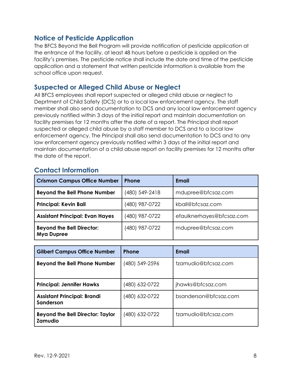#### **Notice of Pesticide Application**

The BFCS Beyond the Bell Program will provide notification of pesticide application at the entrance of the facility, at least 48 hours before a pesticide is applied on the facility's premises. The pesticide notice shall include the date and time of the pesticide application and a statement that written pesticide information is available from the school office upon request.

#### **Suspected or Alleged Child Abuse or Neglect**

All BFCS employees shall report suspected or alleged child abuse or neglect to Deprtment of Child Safety (DCS) or to a local law enforcement agency. The staff member shall also send documentation to DCS and any local law enforcement agency previously notified within 3 days of the initial report and maintain documentation on facility premises for 12 months after the date of a report. The Principal shall report suspected or alleged child abuse by a staff member to DCS and to a local law enforcement agency. The Principal shall also send documentation to DCS and to any law enforcement agency previously notified within 3 days of the initial report and maintain documentation of a child abuse report on facility premises for 12 months after the date of the report.

#### **Contact Information**

| <b>Crismon Campus Office Number</b>                   | <b>Phone</b>   | Email                     |
|-------------------------------------------------------|----------------|---------------------------|
| <b>Beyond the Bell Phone Number</b>                   | (480) 549-2418 | mdupree@bfcsaz.com        |
| <b>Principal: Kevin Ball</b>                          | (480) 987-0722 | kball@bfcsaz.com          |
| <b>Assistant Principal: Evan Hayes</b>                | (480) 987-0722 | efaulknerhayes@bfcsaz.com |
| <b>Beyond the Bell Director:</b><br><b>Mya Dupree</b> | (480) 987-0722 | mdupree@bfcsaz.com        |

| <b>Gilbert Campus Office Number</b>                       | <b>Phone</b>   | Email                 |
|-----------------------------------------------------------|----------------|-----------------------|
| <b>Beyond the Bell Phone Number</b>                       | (480) 549-2596 | tzamudio@bfcsaz.com   |
| <b>Principal: Jennifer Hawks</b>                          | (480) 632-0722 | jhawks@bfcsaz.com     |
| <b>Assistant Principal: Brandi</b><br>Sanderson           | (480) 632-0722 | bsanderson@bfcsaz.com |
| <b>Beyond the Bell Director: Taylor</b><br><b>Zamudio</b> | (480) 632-0722 | tzamudio@bfcsaz.com   |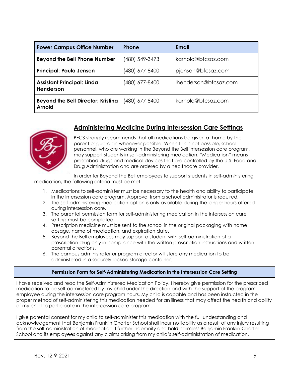<span id="page-9-0"></span>

| <b>Power Campus Office Number</b>                          | <b>Phone</b>   | Email                 |
|------------------------------------------------------------|----------------|-----------------------|
| <b>Beyond the Bell Phone Number</b>                        | (480) 549-3473 | karnold@bfcsaz.com    |
| <b>Principal: Paula Jensen</b>                             | (480) 677-8400 | pjensen@bfcsaz.com    |
| <b>Assistant Principal: Linda</b><br>Henderson             | (480) 677-8400 | Ihenderson@bfcsaz.com |
| <b>Beyond the Bell Director: Kristina</b><br><b>Arnold</b> | (480) 677-8400 | karnold@bfcsaz.com    |

#### **Administering Medicine During Intersession Care Settings**



BFCS strongly recommends that all medications be given at home by the parent or guardian whenever possible. When this is not possible, school personnel, who are working in the Beyond the Bell intersession care program, may support students in self-administering medication. "Medication" means prescribed drugs and medical devices that are controlled by the U.S. Food and Drug Administration and are ordered by a healthcare provider.

In order for Beyond the Bell employees to support students in self-administering medication, the following criteria must be met:

- 1. Medications to self-administer must be necessary to the health and ability to participate in the intersession care program. Approval from a school administrator is required.
- 2. The self-administering medication option is only available during the longer hours offered during intersession care.
- 3. The parental permission form for self-administering medication in the intersession care setting must be completed.
- 4. Prescription medicine must be sent to the school in the original packaging with name dosage, name of medication, and expiration date.
- 5. Beyond the Bell employees may support a student with self-administration of a prescription drug only in compliance with the written prescription instructions and written parental directions.
- 6. The campus administrator or program director will store any medication to be administered in a securely locked storage container.

#### **Permission Form for Self-Administering Medication in the Intersession Care Setting**

I have received and read the Self-Administered Medication Policy. I hereby give permission for the prescribed medication to be self-administered by my child under the direction and with the support of the program employee during the intersession care program hours. My child is capable and has been instructed in the proper method of self-administering this medication needed for an illness that may affect the health and ability of my child to participate in the intercession care program.

I give parental consent for my child to self-administer this medication with the full understanding and acknowledgement that Benjamin Franklin Charter School shall incur no liability as a result of any injury resulting from the self-administration of medication. I further indemnify and hold harmless Benjamin Franklin Charter School and its employees against any claims arising from my child's self-administration of medication.